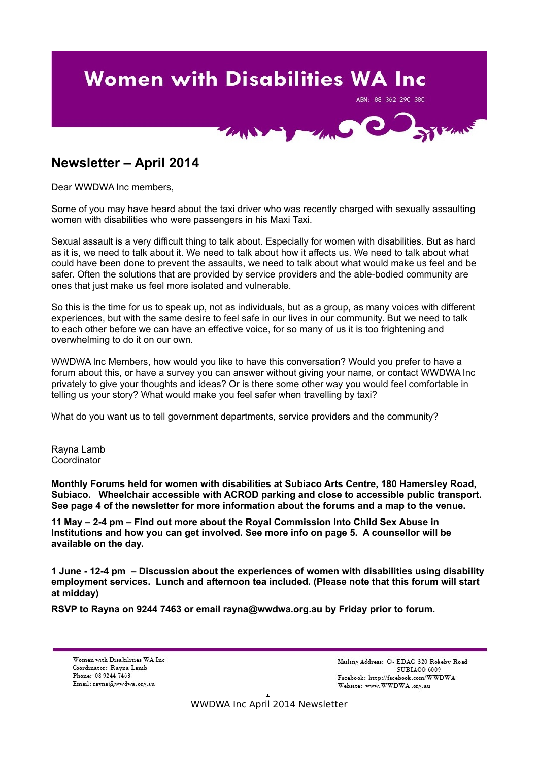# **Women with Disabilities WA Inc**

ABN: 88 362 290 380



# **Newsletter – April 2014**

Dear WWDWA Inc members,

Some of you may have heard about the taxi driver who was recently charged with sexually assaulting women with disabilities who were passengers in his Maxi Taxi.

Sexual assault is a very difficult thing to talk about. Especially for women with disabilities. But as hard as it is, we need to talk about it. We need to talk about how it affects us. We need to talk about what could have been done to prevent the assaults, we need to talk about what would make us feel and be safer. Often the solutions that are provided by service providers and the able-bodied community are ones that just make us feel more isolated and vulnerable.

So this is the time for us to speak up, not as individuals, but as a group, as many voices with different experiences, but with the same desire to feel safe in our lives in our community. But we need to talk to each other before we can have an effective voice, for so many of us it is too frightening and overwhelming to do it on our own.

WWDWA Inc Members, how would you like to have this conversation? Would you prefer to have a forum about this, or have a survey you can answer without giving your name, or contact WWDWA Inc privately to give your thoughts and ideas? Or is there some other way you would feel comfortable in telling us your story? What would make you feel safer when travelling by taxi?

What do you want us to tell government departments, service providers and the community?

Rayna Lamb **Coordinator** 

**Monthly Forums held for women with disabilities at Subiaco Arts Centre, 180 Hamersley Road, Subiaco. Wheelchair accessible with ACROD parking and close to accessible public transport. See page 4 of the newsletter for more information about the forums and a map to the venue.**

**11 May – 2-4 pm – Find out more about the Royal Commission Into Child Sex Abuse in Institutions and how you can get involved. See more info on page 5. A counsellor will be available on the day.**

**1 June - 12-4 pm – Discussion about the experiences of women with disabilities using disability employment services. Lunch and afternoon tea included. (Please note that this forum will start at midday)**

**RSVP to Rayna on 9244 7463 or email rayna@wwdwa.org.au by Friday prior to forum.**

Women with Disabilities WA Inc Coordinator: Rayna Lamb Phone: 08 9244 7463 Email: rayna@wwdwa.org.au

Mailing Address: C/- EDAC 320 Rokeby Road SUBIACO 6009 Facebook: http://facebook.com/WWDWA Website: www.WWDWA.org.au

1 WWDWA Inc April 2014 Newsletter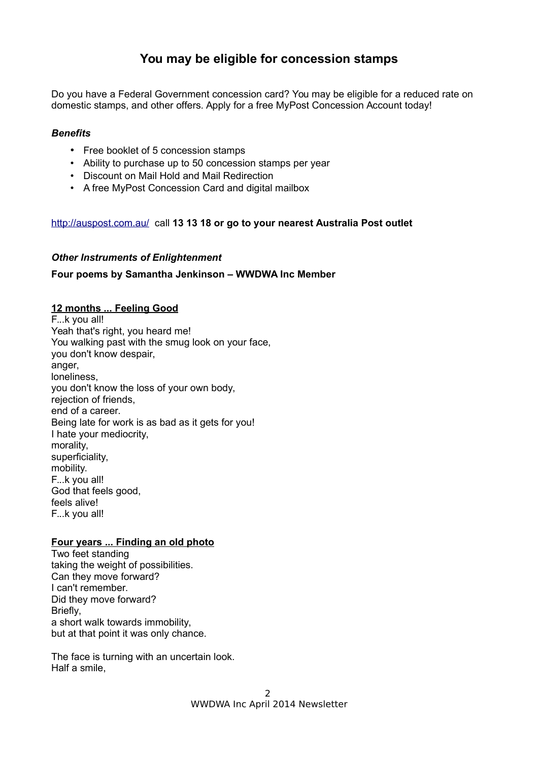# **You may be eligible for concession stamps**

Do you have a Federal Government concession card? You may be eligible for a reduced rate on domestic stamps, and other offers. Apply for a free MyPost Concession Account today!

# *Benefits*

- Free booklet of 5 concession stamps
- Ability to purchase up to 50 concession stamps per year
- Discount on Mail Hold and Mail Redirection
- A free MyPost Concession Card and digital mailbox

# <http://auspost.com.au/>call **13 13 18 or go to your nearest Australia Post outlet**

# *Other Instruments of Enlightenment*

# **Four poems by Samantha Jenkinson – WWDWA Inc Member**

# **12 months ... Feeling Good**

F...k you all! Yeah that's right, you heard me! You walking past with the smug look on your face, you don't know despair, anger, loneliness, you don't know the loss of your own body, rejection of friends, end of a career. Being late for work is as bad as it gets for you! I hate your mediocrity, morality, superficiality, mobility. F...k you all! God that feels good, feels alive! F...k you all!

# **Four years ... Finding an old photo**

Two feet standing taking the weight of possibilities. Can they move forward? I can't remember. Did they move forward? Briefly, a short walk towards immobility, but at that point it was only chance.

The face is turning with an uncertain look. Half a smile,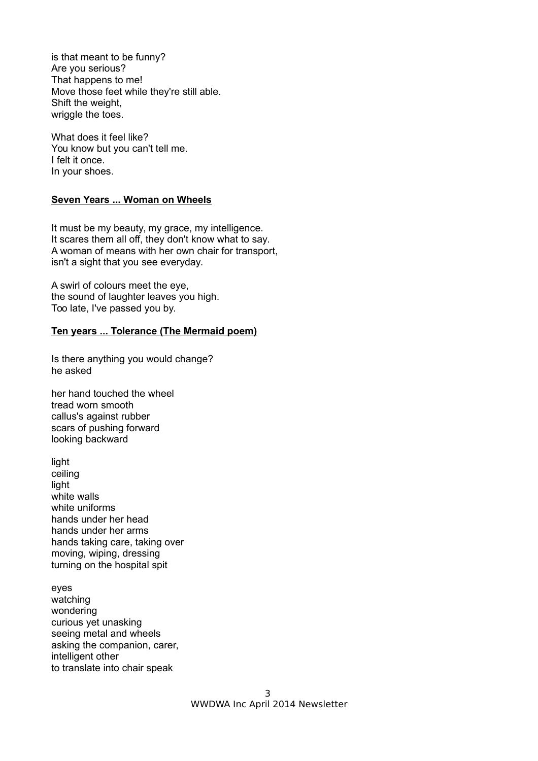is that meant to be funny? Are you serious? That happens to me! Move those feet while they're still able. Shift the weight, wriggle the toes.

What does it feel like? You know but you can't tell me. I felt it once. In your shoes.

# **Seven Years ... Woman on Wheels**

It must be my beauty, my grace, my intelligence. It scares them all off, they don't know what to say. A woman of means with her own chair for transport, isn't a sight that you see everyday.

A swirl of colours meet the eye, the sound of laughter leaves you high. Too late, I've passed you by.

# **Ten years ... Tolerance (The Mermaid poem)**

Is there anything you would change? he asked

her hand touched the wheel tread worn smooth callus's against rubber scars of pushing forward looking backward

light ceiling light white walls white uniforms hands under her head hands under her arms hands taking care, taking over moving, wiping, dressing turning on the hospital spit

eyes watching wondering curious yet unasking seeing metal and wheels asking the companion, carer, intelligent other to translate into chair speak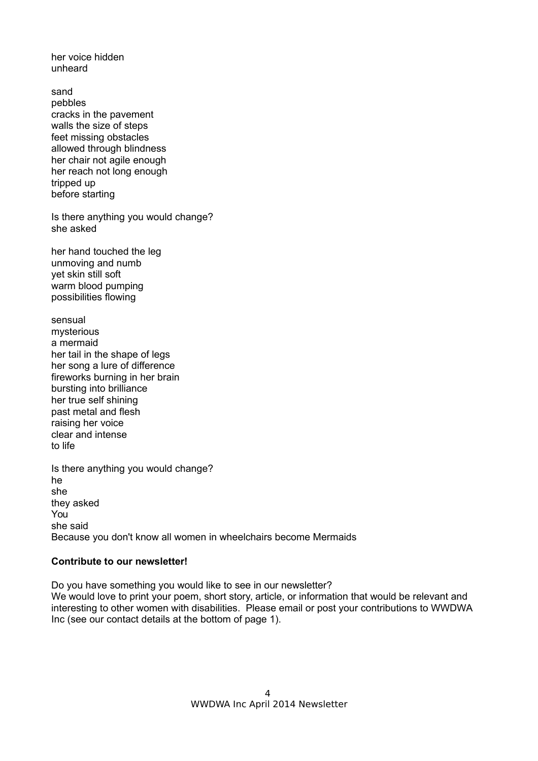her voice hidden unheard

sand pebbles cracks in the pavement walls the size of steps feet missing obstacles allowed through blindness her chair not agile enough her reach not long enough tripped up before starting

Is there anything you would change? she asked

her hand touched the leg unmoving and numb yet skin still soft warm blood pumping possibilities flowing

sensual mysterious a mermaid her tail in the shape of legs her song a lure of difference fireworks burning in her brain bursting into brilliance her true self shining past metal and flesh raising her voice clear and intense to life

Is there anything you would change? he she they asked You she said Because you don't know all women in wheelchairs become Mermaids

#### **Contribute to our newsletter!**

Do you have something you would like to see in our newsletter? We would love to print your poem, short story, article, or information that would be relevant and interesting to other women with disabilities. Please email or post your contributions to WWDWA Inc (see our contact details at the bottom of page 1).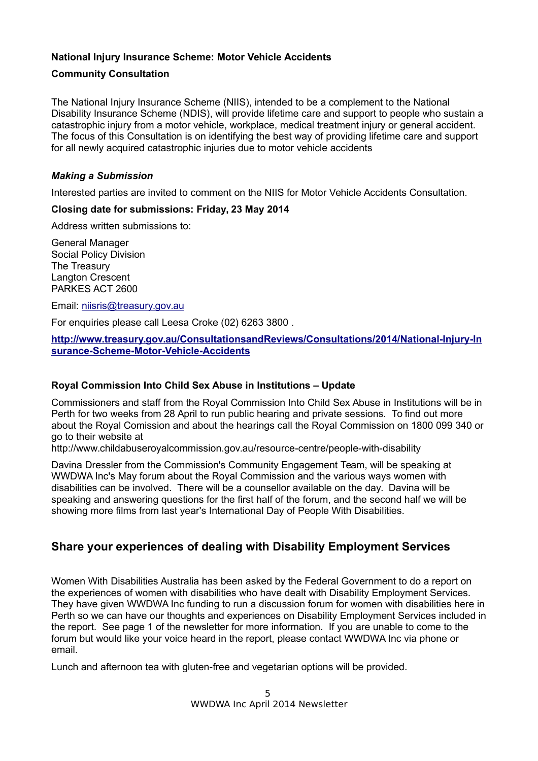# **National Injury Insurance Scheme: Motor Vehicle Accidents**

# **Community Consultation**

The National Injury Insurance Scheme (NIIS), intended to be a complement to the National Disability Insurance Scheme (NDIS), will provide lifetime care and support to people who sustain a catastrophic injury from a motor vehicle, workplace, medical treatment injury or general accident. The focus of this Consultation is on identifying the best way of providing lifetime care and support for all newly acquired catastrophic injuries due to motor vehicle accidents

# *Making a Submission*

Interested parties are invited to comment on the NIIS for Motor Vehicle Accidents Consultation.

# **Closing date for submissions: Friday, 23 May 2014**

Address written submissions to:

General Manager Social Policy Division The Treasury Langton Crescent PARKES ACT 2600

Email: [niisris@treasury.gov.au](mailto:niisris@treasury.gov.au?subject=Submission%20-%20National%20Injury%20Insurance%20Scheme:%20Motor%20Vehicle%20Accidents%20-%20Consultation%20Regulation%20Impact%20Statement)

For enquiries please call Leesa Croke (02) 6263 3800 .

**[http://www.treasury.gov.au/ConsultationsandReviews/Consultations/2014/National-Injury-In](http://www.treasury.gov.au/ConsultationsandReviews/Consultations/2014/National-Injury-Insurance-Scheme-Motor-Vehicle-Accidents) [surance-Scheme-Motor-Vehicle-Accidents](http://www.treasury.gov.au/ConsultationsandReviews/Consultations/2014/National-Injury-Insurance-Scheme-Motor-Vehicle-Accidents)**

# **Royal Commission Into Child Sex Abuse in Institutions – Update**

Commissioners and staff from the Royal Commission Into Child Sex Abuse in Institutions will be in Perth for two weeks from 28 April to run public hearing and private sessions. To find out more about the Royal Comission and about the hearings call the Royal Commission on 1800 099 340 or go to their website at

http://www.childabuseroyalcommission.gov.au/resource-centre/people-with-disability

Davina Dressler from the Commission's Community Engagement Team, will be speaking at WWDWA Inc's May forum about the Royal Commission and the various ways women with disabilities can be involved. There will be a counsellor available on the day. Davina will be speaking and answering questions for the first half of the forum, and the second half we will be showing more films from last year's International Day of People With Disabilities.

# **Share your experiences of dealing with Disability Employment Services**

Women With Disabilities Australia has been asked by the Federal Government to do a report on the experiences of women with disabilities who have dealt with Disability Employment Services. They have given WWDWA Inc funding to run a discussion forum for women with disabilities here in Perth so we can have our thoughts and experiences on Disability Employment Services included in the report. See page 1 of the newsletter for more information. If you are unable to come to the forum but would like your voice heard in the report, please contact WWDWA Inc via phone or email.

Lunch and afternoon tea with gluten-free and vegetarian options will be provided.